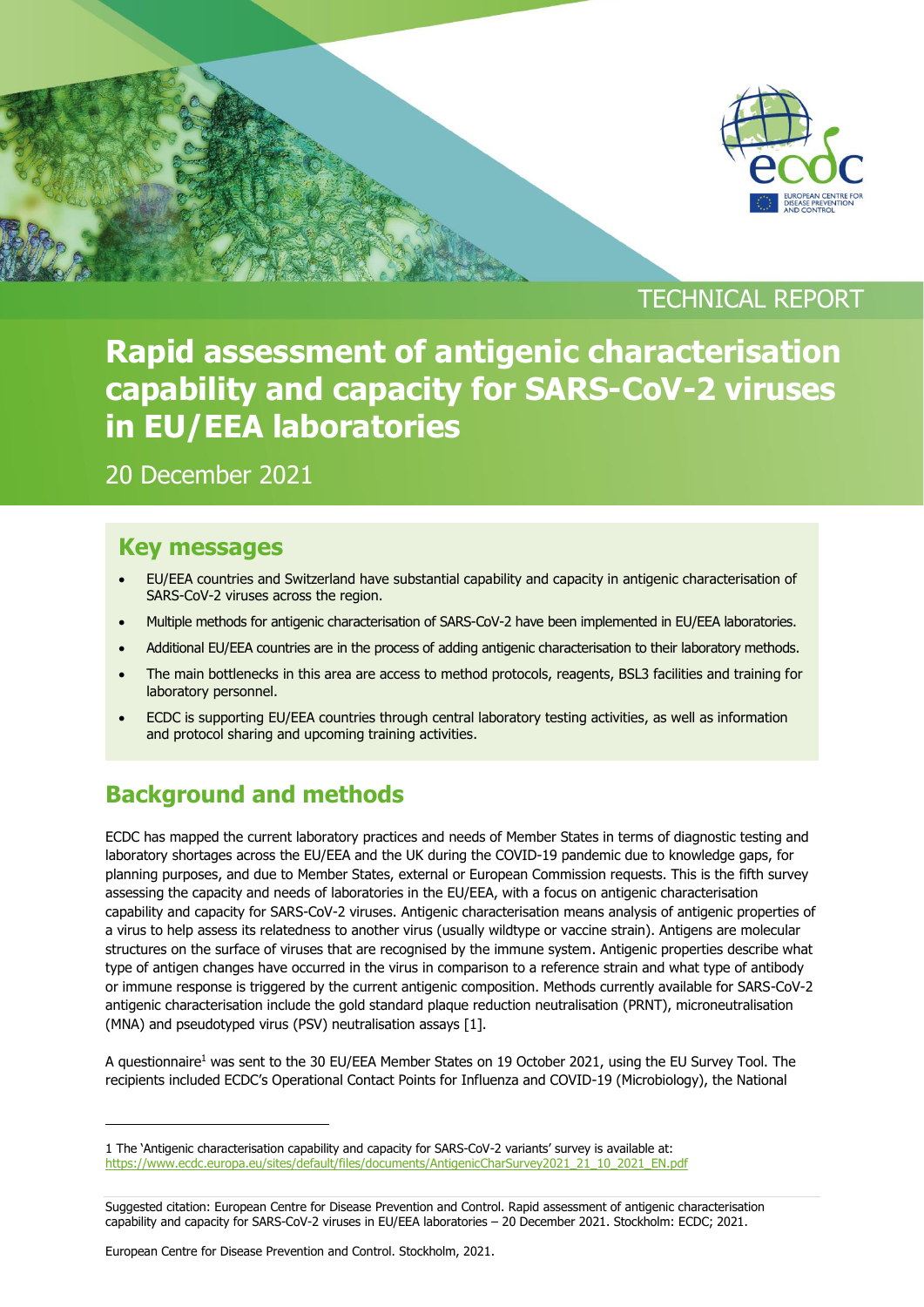

# TECHNICAL REPORT

# **Rapid assessment of antigenic characterisation capability and capacity for SARS-CoV-2 viruses in EU/EEA laboratories**

### 20 December 2021

#### **Key messages**

- EU/EEA countries and Switzerland have substantial capability and capacity in antigenic characterisation of SARS-CoV-2 viruses across the region.
- Multiple methods for antigenic characterisation of SARS-CoV-2 have been implemented in EU/EEA laboratories.
- Additional EU/EEA countries are in the process of adding antigenic characterisation to their laboratory methods.
- The main bottlenecks in this area are access to method protocols, reagents, BSL3 facilities and training for laboratory personnel.
- ECDC is supporting EU/EEA countries through central laboratory testing activities, as well as information and protocol sharing and upcoming training activities.

# **Background and methods**

ECDC has mapped the current laboratory practices and needs of Member States in terms of diagnostic testing and laboratory shortages across the EU/EEA and the UK during the COVID-19 pandemic due to knowledge gaps, for planning purposes, and due to Member States, external or European Commission requests. This is the fifth survey assessing the capacity and needs of laboratories in the EU/EEA, with a focus on antigenic characterisation capability and capacity for SARS-CoV-2 viruses. Antigenic characterisation means analysis of antigenic properties of a virus to help assess its relatedness to another virus (usually wildtype or vaccine strain). Antigens are molecular structures on the surface of viruses that are recognised by the immune system. Antigenic properties describe what type of antigen changes have occurred in the virus in comparison to a reference strain and what type of antibody or immune response is triggered by the current antigenic composition. Methods currently available for SARS-CoV-2 antigenic characterisation include the gold standard plaque reduction neutralisation (PRNT), microneutralisation (MNA) and pseudotyped virus (PSV) neutralisation assays [1].

A questionnaire<sup>1</sup> was sent to the 30 EU/EEA Member States on 19 October 2021, using the EU Survey Tool. The recipients included ECDC's Operational Contact Points for Influenza and COVID-19 (Microbiology), the National

<sup>1</sup> The 'Antigenic characterisation capability and capacity for SARS-CoV-2 variants' survey is available at: [https://www.ecdc.europa.eu/sites/default/files/documents/AntigenicCharSurvey2021\\_21\\_10\\_2021\\_EN.pdf](https://www.ecdc.europa.eu/sites/default/files/documents/AntigenicCharSurvey2021_21_10_2021_EN.pdf)

Suggested citation: European Centre for Disease Prevention and Control. Rapid assessment of antigenic characterisation capability and capacity for SARS-CoV-2 viruses in EU/EEA laboratories – 20 December 2021. Stockholm: ECDC; 2021.

European Centre for Disease Prevention and Control. Stockholm, 2021.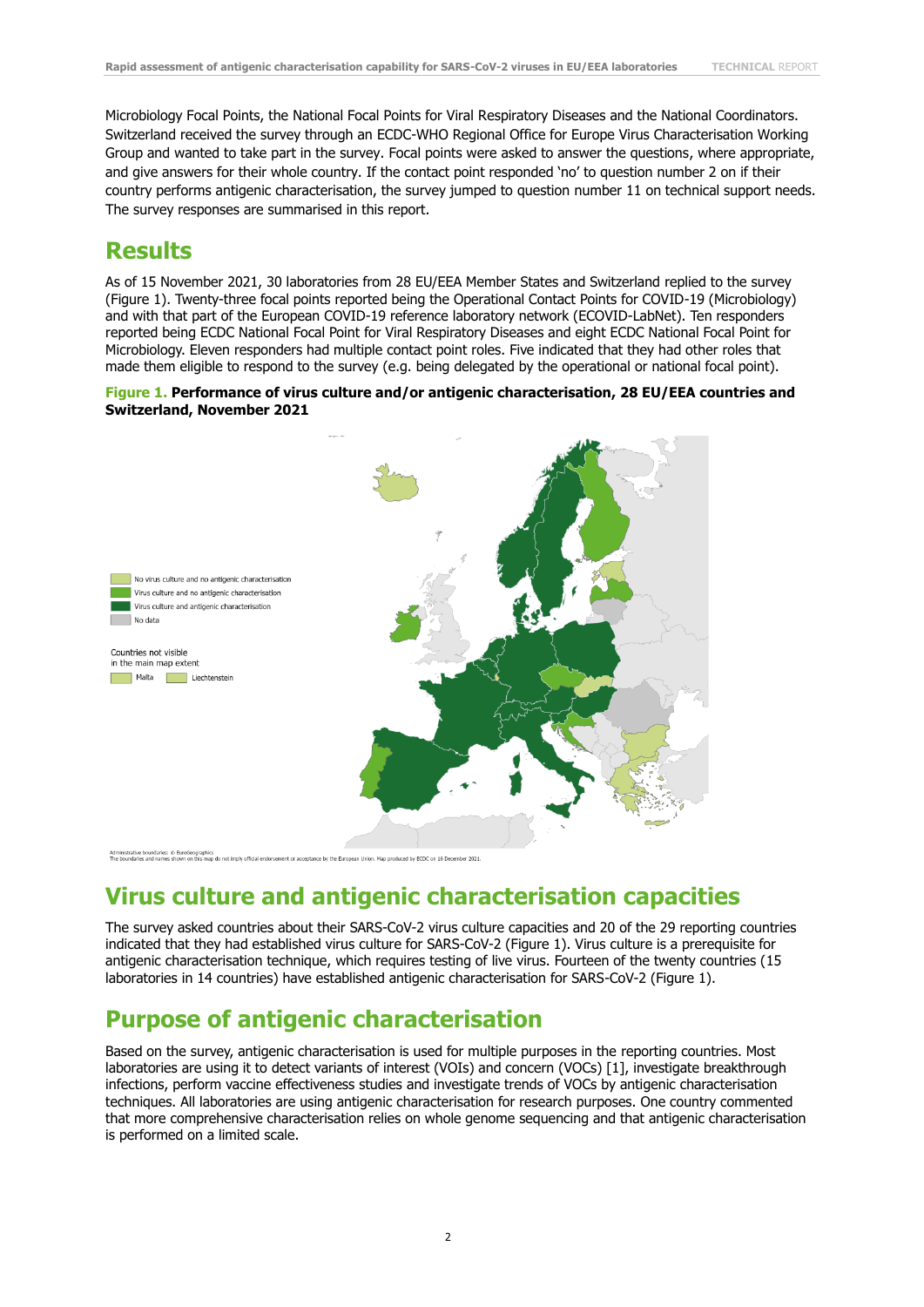Microbiology Focal Points, the National Focal Points for Viral Respiratory Diseases and the National Coordinators. Switzerland received the survey through an ECDC-WHO Regional Office for Europe Virus Characterisation Working Group and wanted to take part in the survey. Focal points were asked to answer the questions, where appropriate, and give answers for their whole country. If the contact point responded 'no' to question number 2 on if their country performs antigenic characterisation, the survey jumped to question number 11 on technical support needs. The survey responses are summarised in this report.

### **Results**

As of 15 November 2021, 30 laboratories from 28 EU/EEA Member States and Switzerland replied to the survey (Figure 1). Twenty-three focal points reported being the Operational Contact Points for COVID-19 (Microbiology) and with that part of the European COVID-19 reference laboratory network (ECOVID-LabNet). Ten responders reported being ECDC National Focal Point for Viral Respiratory Diseases and eight ECDC National Focal Point for Microbiology. Eleven responders had multiple contact point roles. Five indicated that they had other roles that made them eligible to respond to the survey (e.g. being delegated by the operational or national focal point).

#### **Figure 1. Performance of virus culture and/or antigenic characterisation, 28 EU/EEA countries and Switzerland, November 2021**



et by FCDC on 16 Dec

### **Virus culture and antigenic characterisation capacities**

The survey asked countries about their SARS-CoV-2 virus culture capacities and 20 of the 29 reporting countries indicated that they had established virus culture for SARS-CoV-2 (Figure 1). Virus culture is a prerequisite for antigenic characterisation technique, which requires testing of live virus. Fourteen of the twenty countries (15 laboratories in 14 countries) have established antigenic characterisation for SARS-CoV-2 (Figure 1).

### **Purpose of antigenic characterisation**

Based on the survey, antigenic characterisation is used for multiple purposes in the reporting countries. Most laboratories are using it to detect variants of interest (VOIs) and concern (VOCs) [1], investigate breakthrough infections, perform vaccine effectiveness studies and investigate trends of VOCs by antigenic characterisation techniques. All laboratories are using antigenic characterisation for research purposes. One country commented that more comprehensive characterisation relies on whole genome sequencing and that antigenic characterisation is performed on a limited scale.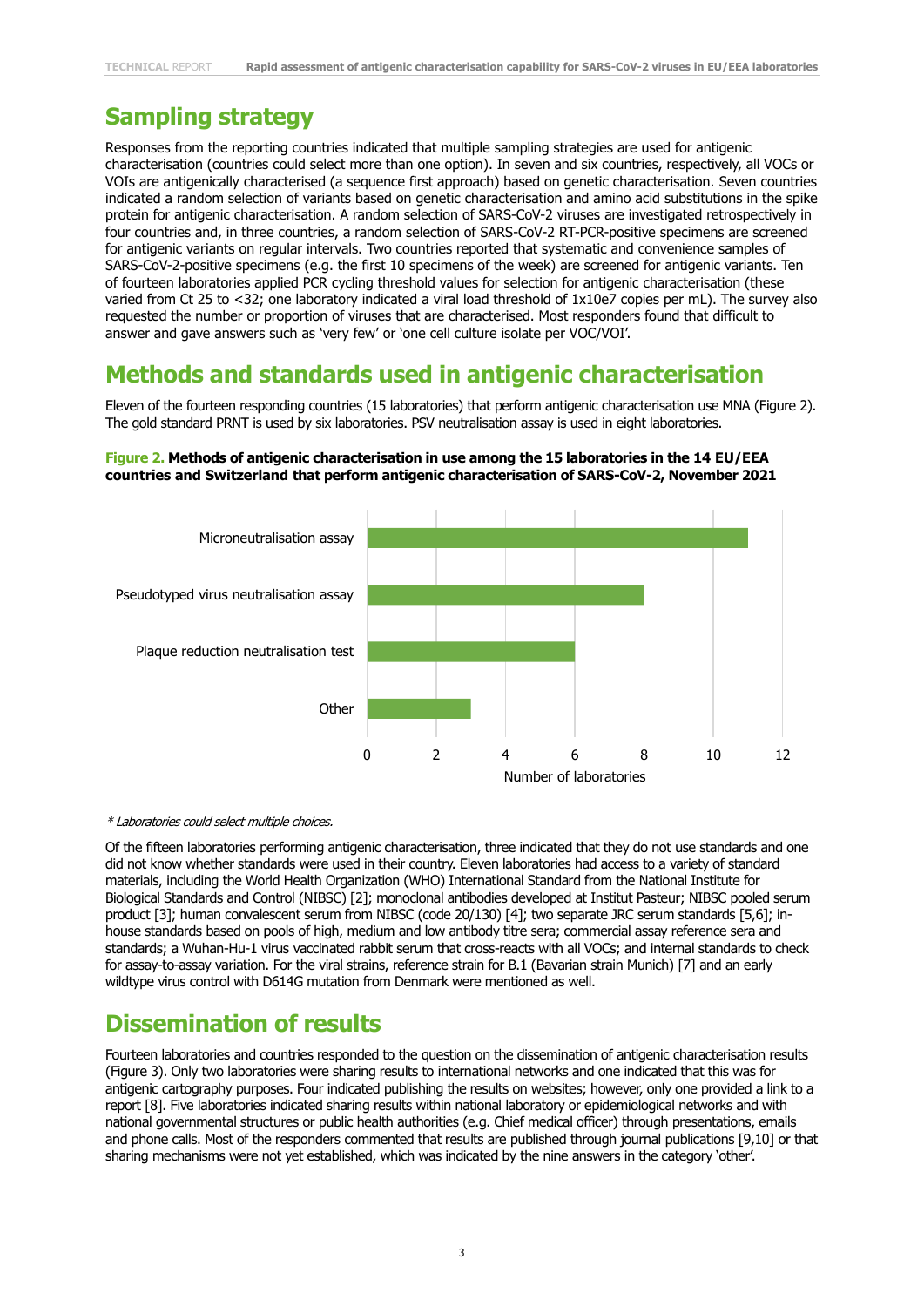# **Sampling strategy**

Responses from the reporting countries indicated that multiple sampling strategies are used for antigenic characterisation (countries could select more than one option). In seven and six countries, respectively, all VOCs or VOIs are antigenically characterised (a sequence first approach) based on genetic characterisation. Seven countries indicated a random selection of variants based on genetic characterisation and amino acid substitutions in the spike protein for antigenic characterisation. A random selection of SARS-CoV-2 viruses are investigated retrospectively in four countries and, in three countries, a random selection of SARS-CoV-2 RT-PCR-positive specimens are screened for antigenic variants on regular intervals. Two countries reported that systematic and convenience samples of SARS-CoV-2-positive specimens (e.g. the first 10 specimens of the week) are screened for antigenic variants. Ten of fourteen laboratories applied PCR cycling threshold values for selection for antigenic characterisation (these varied from Ct 25 to <32; one laboratory indicated a viral load threshold of 1x10e7 copies per mL). The survey also requested the number or proportion of viruses that are characterised. Most responders found that difficult to answer and gave answers such as 'very few' or 'one cell culture isolate per VOC/VOI'.

### **Methods and standards used in antigenic characterisation**

Eleven of the fourteen responding countries (15 laboratories) that perform antigenic characterisation use MNA (Figure 2). The gold standard PRNT is used by six laboratories. PSV neutralisation assay is used in eight laboratories.

#### **Figure 2. Methods of antigenic characterisation in use among the 15 laboratories in the 14 EU/EEA countries and Switzerland that perform antigenic characterisation of SARS-CoV-2, November 2021**



#### \* Laboratories could select multiple choices.

Of the fifteen laboratories performing antigenic characterisation, three indicated that they do not use standards and one did not know whether standards were used in their country. Eleven laboratories had access to a variety of standard materials, including the World Health Organization (WHO) International Standard from the National Institute for Biological Standards and Control (NIBSC) [2]; monoclonal antibodies developed at Institut Pasteur; NIBSC pooled serum product [3]; human convalescent serum from NIBSC (code 20/130) [4]; two separate JRC serum standards [5,6]; inhouse standards based on pools of high, medium and low antibody titre sera; commercial assay reference sera and standards; a Wuhan-Hu-1 virus vaccinated rabbit serum that cross-reacts with all VOCs; and internal standards to check for assay-to-assay variation. For the viral strains, reference strain for B.1 (Bavarian strain Munich) [7] and an early wildtype virus control with D614G mutation from Denmark were mentioned as well.

### **Dissemination of results**

Fourteen laboratories and countries responded to the question on the dissemination of antigenic characterisation results (Figure 3). Only two laboratories were sharing results to international networks and one indicated that this was for antigenic cartography purposes. Four indicated publishing the results on websites; however, only one provided a link to a report [8]. Five laboratories indicated sharing results within national laboratory or epidemiological networks and with national governmental structures or public health authorities (e.g. Chief medical officer) through presentations, emails and phone calls. Most of the responders commented that results are published through journal publications [9,10] or that sharing mechanisms were not yet established, which was indicated by the nine answers in the category 'other'.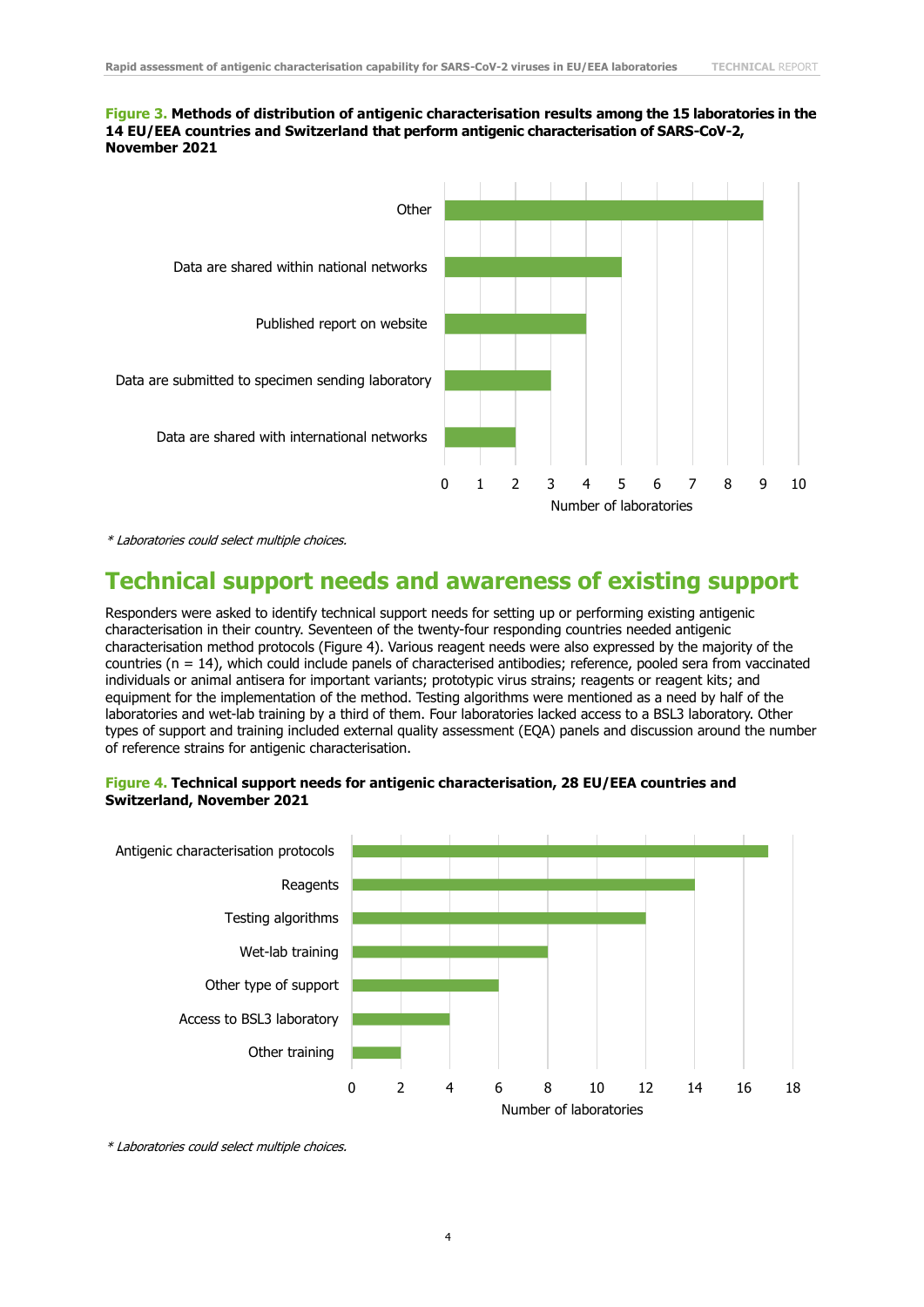#### **Figure 3. Methods of distribution of antigenic characterisation results among the 15 laboratories in the 14 EU/EEA countries and Switzerland that perform antigenic characterisation of SARS-CoV-2, November 2021**



\* Laboratories could select multiple choices.

#### **Technical support needs and awareness of existing support**

Responders were asked to identify technical support needs for setting up or performing existing antigenic characterisation in their country. Seventeen of the twenty-four responding countries needed antigenic characterisation method protocols (Figure 4). Various reagent needs were also expressed by the majority of the countries (n = 14), which could include panels of characterised antibodies; reference, pooled sera from vaccinated individuals or animal antisera for important variants; prototypic virus strains; reagents or reagent kits; and equipment for the implementation of the method. Testing algorithms were mentioned as a need by half of the laboratories and wet-lab training by a third of them. Four laboratories lacked access to a BSL3 laboratory. Other types of support and training included external quality assessment (EQA) panels and discussion around the number of reference strains for antigenic characterisation.

#### **Figure 4. Technical support needs for antigenic characterisation, 28 EU/EEA countries and Switzerland, November 2021**



\* Laboratories could select multiple choices.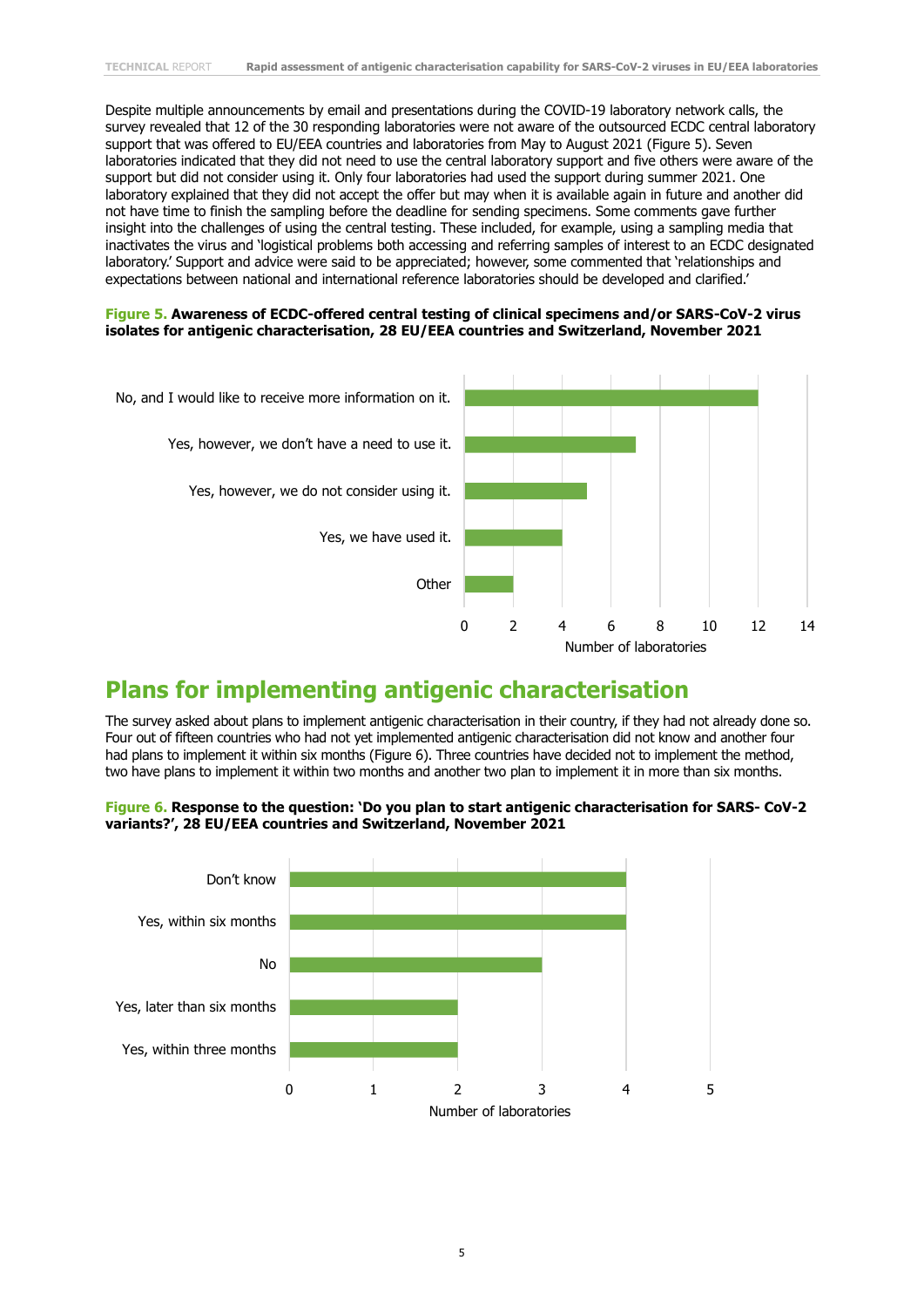Despite multiple announcements by email and presentations during the COVID-19 laboratory network calls, the survey revealed that 12 of the 30 responding laboratories were not aware of the outsourced ECDC central laboratory support that was offered to EU/EEA countries and laboratories from May to August 2021 (Figure 5). Seven laboratories indicated that they did not need to use the central laboratory support and five others were aware of the support but did not consider using it. Only four laboratories had used the support during summer 2021. One laboratory explained that they did not accept the offer but may when it is available again in future and another did not have time to finish the sampling before the deadline for sending specimens. Some comments gave further insight into the challenges of using the central testing. These included, for example, using a sampling media that inactivates the virus and 'logistical problems both accessing and referring samples of interest to an ECDC designated laboratory.' Support and advice were said to be appreciated; however, some commented that 'relationships and expectations between national and international reference laboratories should be developed and clarified.'

#### **Figure 5. Awareness of ECDC-offered central testing of clinical specimens and/or SARS-CoV-2 virus isolates for antigenic characterisation, 28 EU/EEA countries and Switzerland, November 2021**



### **Plans for implementing antigenic characterisation**

The survey asked about plans to implement antigenic characterisation in their country, if they had not already done so. Four out of fifteen countries who had not yet implemented antigenic characterisation did not know and another four had plans to implement it within six months (Figure 6). Three countries have decided not to implement the method, two have plans to implement it within two months and another two plan to implement it in more than six months.



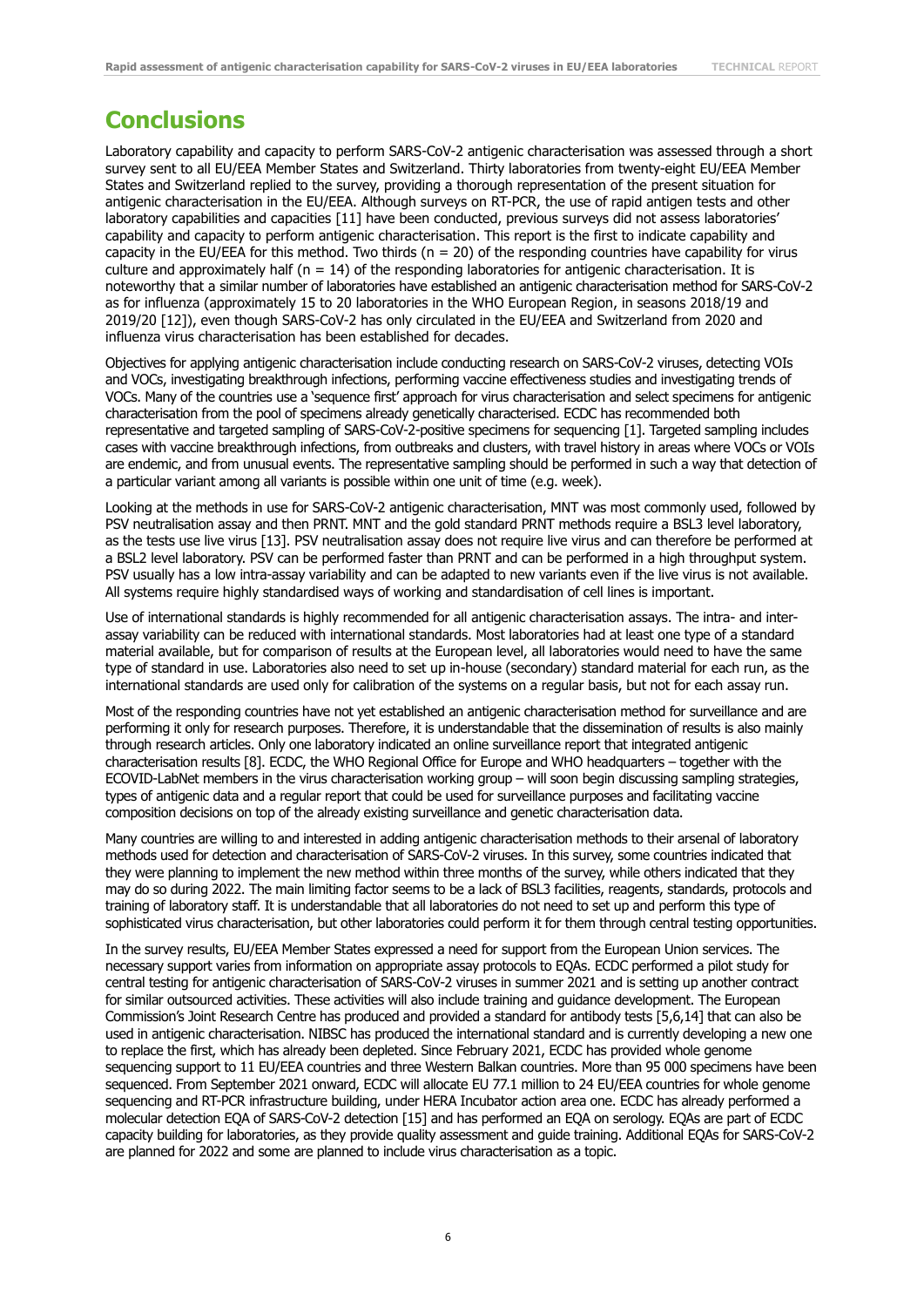### **Conclusions**

Laboratory capability and capacity to perform SARS-CoV-2 antigenic characterisation was assessed through a short survey sent to all EU/EEA Member States and Switzerland. Thirty laboratories from twenty-eight EU/EEA Member States and Switzerland replied to the survey, providing a thorough representation of the present situation for antigenic characterisation in the EU/EEA. Although surveys on RT-PCR, the use of rapid antigen tests and other laboratory capabilities and capacities [11] have been conducted, previous surveys did not assess laboratories' capability and capacity to perform antigenic characterisation. This report is the first to indicate capability and capacity in the EU/EEA for this method. Two thirds ( $n = 20$ ) of the responding countries have capability for virus culture and approximately half ( $n = 14$ ) of the responding laboratories for antigenic characterisation. It is noteworthy that a similar number of laboratories have established an antigenic characterisation method for SARS-CoV-2 as for influenza (approximately 15 to 20 laboratories in the WHO European Region, in seasons 2018/19 and 2019/20 [12]), even though SARS-CoV-2 has only circulated in the EU/EEA and Switzerland from 2020 and influenza virus characterisation has been established for decades.

Objectives for applying antigenic characterisation include conducting research on SARS-CoV-2 viruses, detecting VOIs and VOCs, investigating breakthrough infections, performing vaccine effectiveness studies and investigating trends of VOCs. Many of the countries use a 'sequence first' approach for virus characterisation and select specimens for antigenic characterisation from the pool of specimens already genetically characterised. ECDC has recommended both representative and targeted sampling of SARS-CoV-2-positive specimens for sequencing [1]. Targeted sampling includes cases with vaccine breakthrough infections, from outbreaks and clusters, with travel history in areas where VOCs or VOIs are endemic, and from unusual events. The representative sampling should be performed in such a way that detection of a particular variant among all variants is possible within one unit of time (e.g. week).

Looking at the methods in use for SARS-CoV-2 antigenic characterisation, MNT was most commonly used, followed by PSV neutralisation assay and then PRNT. MNT and the gold standard PRNT methods require a BSL3 level laboratory, as the tests use live virus [13]. PSV neutralisation assay does not require live virus and can therefore be performed at a BSL2 level laboratory. PSV can be performed faster than PRNT and can be performed in a high throughput system. PSV usually has a low intra-assay variability and can be adapted to new variants even if the live virus is not available. All systems require highly standardised ways of working and standardisation of cell lines is important.

Use of international standards is highly recommended for all antigenic characterisation assays. The intra- and interassay variability can be reduced with international standards. Most laboratories had at least one type of a standard material available, but for comparison of results at the European level, all laboratories would need to have the same type of standard in use. Laboratories also need to set up in-house (secondary) standard material for each run, as the international standards are used only for calibration of the systems on a regular basis, but not for each assay run.

Most of the responding countries have not yet established an antigenic characterisation method for surveillance and are performing it only for research purposes. Therefore, it is understandable that the dissemination of results is also mainly through research articles. Only one laboratory indicated an online surveillance report that integrated antigenic characterisation results [8]. ECDC, the WHO Regional Office for Europe and WHO headquarters – together with the ECOVID-LabNet members in the virus characterisation working group – will soon begin discussing sampling strategies, types of antigenic data and a regular report that could be used for surveillance purposes and facilitating vaccine composition decisions on top of the already existing surveillance and genetic characterisation data.

Many countries are willing to and interested in adding antigenic characterisation methods to their arsenal of laboratory methods used for detection and characterisation of SARS-CoV-2 viruses. In this survey, some countries indicated that they were planning to implement the new method within three months of the survey, while others indicated that they may do so during 2022. The main limiting factor seems to be a lack of BSL3 facilities, reagents, standards, protocols and training of laboratory staff. It is understandable that all laboratories do not need to set up and perform this type of sophisticated virus characterisation, but other laboratories could perform it for them through central testing opportunities.

In the survey results, EU/EEA Member States expressed a need for support from the European Union services. The necessary support varies from information on appropriate assay protocols to EQAs. ECDC performed a pilot study for central testing for antigenic characterisation of SARS-CoV-2 viruses in summer 2021 and is setting up another contract for similar outsourced activities. These activities will also include training and guidance development. The European Commission's Joint Research Centre has produced and provided a standard for antibody tests [5,6,14] that can also be used in antigenic characterisation. NIBSC has produced the international standard and is currently developing a new one to replace the first, which has already been depleted. Since February 2021, ECDC has provided whole genome sequencing support to 11 EU/EEA countries and three Western Balkan countries. More than 95 000 specimens have been sequenced. From September 2021 onward, ECDC will allocate EU 77.1 million to 24 EU/EEA countries for whole genome sequencing and RT-PCR infrastructure building, under HERA Incubator action area one. ECDC has already performed a molecular detection EQA of SARS-CoV-2 detection [15] and has performed an EQA on serology. EQAs are part of ECDC capacity building for laboratories, as they provide quality assessment and guide training. Additional EQAs for SARS-CoV-2 are planned for 2022 and some are planned to include virus characterisation as a topic.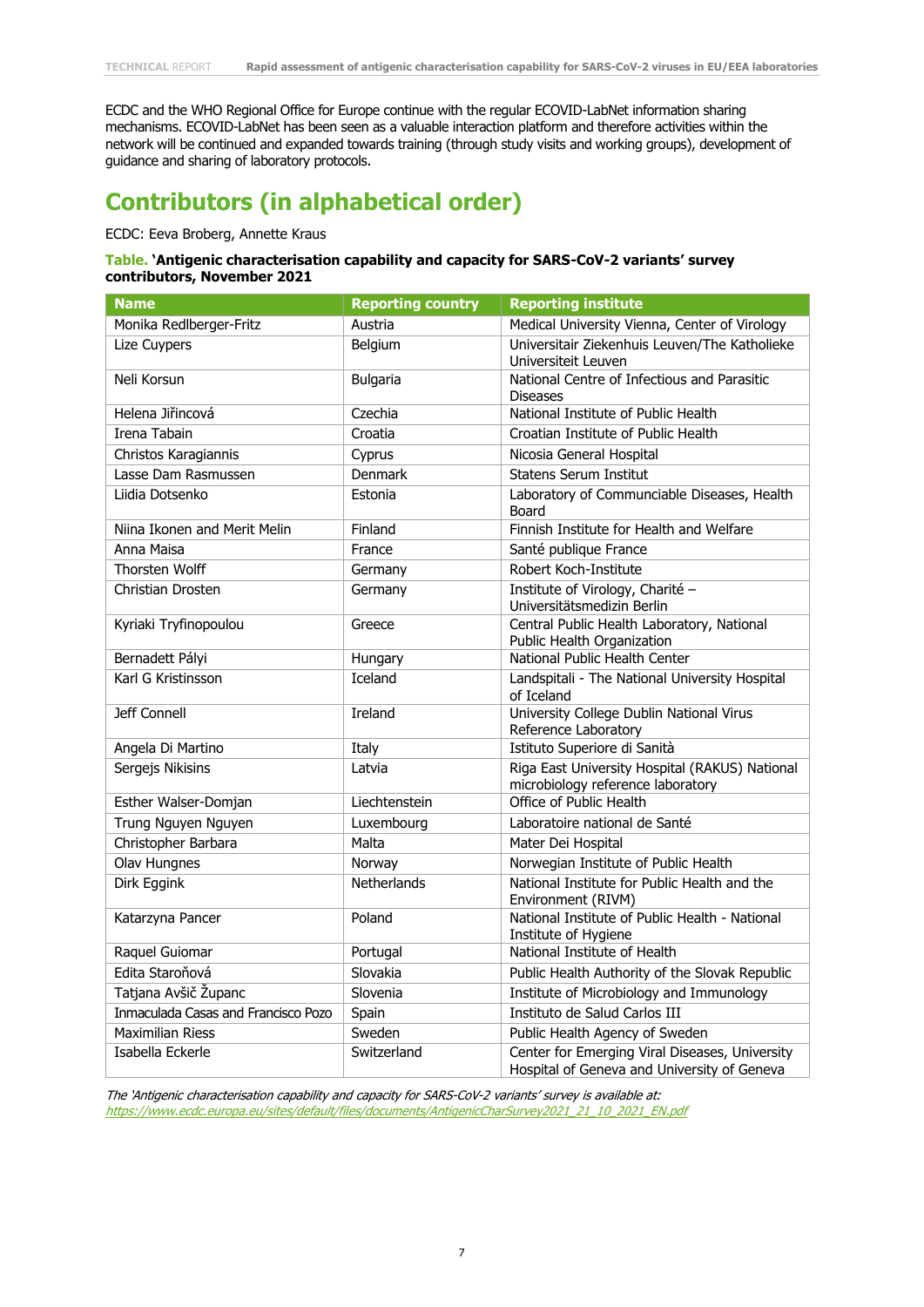ECDC and the WHO Regional Office for Europe continue with the regular ECOVID-LabNet information sharing mechanisms. ECOVID-LabNet has been seen as a valuable interaction platform and therefore activities within the network will be continued and expanded towards training (through study visits and working groups), development of guidance and sharing of laboratory protocols.

# **Contributors (in alphabetical order)**

#### ECDC: Eeva Broberg, Annette Kraus

#### **Table. 'Antigenic characterisation capability and capacity for SARS-CoV-2 variants' survey contributors, November 2021**

| <b>Name</b>                         | <b>Reporting country</b> | <b>Reporting institute</b>                                                                    |
|-------------------------------------|--------------------------|-----------------------------------------------------------------------------------------------|
| Monika Redlberger-Fritz             | Austria                  | Medical University Vienna, Center of Virology                                                 |
| Lize Cuypers                        | Belgium                  | Universitair Ziekenhuis Leuven/The Katholieke<br>Universiteit Leuven                          |
| Neli Korsun                         | <b>Bulgaria</b>          | National Centre of Infectious and Parasitic<br><b>Diseases</b>                                |
| Helena Jiřincová                    | Czechia                  | National Institute of Public Health                                                           |
| Irena Tabain                        | Croatia                  | Croatian Institute of Public Health                                                           |
| Christos Karagiannis                | Cyprus                   | Nicosia General Hospital                                                                      |
| Lasse Dam Rasmussen                 | <b>Denmark</b>           | <b>Statens Serum Institut</b>                                                                 |
| Liidia Dotsenko                     | Estonia                  | Laboratory of Communciable Diseases, Health<br>Board                                          |
| Niina Ikonen and Merit Melin        | Finland                  | Finnish Institute for Health and Welfare                                                      |
| Anna Maisa                          | France                   | Santé publique France                                                                         |
| <b>Thorsten Wolff</b>               | Germany                  | Robert Koch-Institute                                                                         |
| Christian Drosten                   | Germany                  | Institute of Virology, Charité -<br>Universitätsmedizin Berlin                                |
| Kyriaki Tryfinopoulou               | Greece                   | Central Public Health Laboratory, National<br>Public Health Organization                      |
| Bernadett Pályi                     | Hungary                  | National Public Health Center                                                                 |
| Karl G Kristinsson                  | Iceland                  | Landspitali - The National University Hospital<br>of Iceland                                  |
| Jeff Connell                        | Ireland                  | University College Dublin National Virus<br>Reference Laboratory                              |
| Angela Di Martino                   | Italy                    | Istituto Superiore di Sanità                                                                  |
| Sergejs Nikisins                    | Latvia                   | Riga East University Hospital (RAKUS) National<br>microbiology reference laboratory           |
| Esther Walser-Domjan                | Liechtenstein            | Office of Public Health                                                                       |
| Trung Nguyen Nguyen                 | Luxembourg               | Laboratoire national de Santé                                                                 |
| Christopher Barbara                 | Malta                    | Mater Dei Hospital                                                                            |
| Olav Hungnes                        | Norway                   | Norwegian Institute of Public Health                                                          |
| Dirk Eggink                         | Netherlands              | National Institute for Public Health and the<br>Environment (RIVM)                            |
| Katarzyna Pancer                    | Poland                   | National Institute of Public Health - National<br>Institute of Hygiene                        |
| Raquel Guiomar                      | Portugal                 | National Institute of Health                                                                  |
| Edita Staroňová                     | Slovakia                 | Public Health Authority of the Slovak Republic                                                |
| Tatjana Avšič Županc                | Slovenia                 | Institute of Microbiology and Immunology                                                      |
| Inmaculada Casas and Francisco Pozo | Spain                    | Instituto de Salud Carlos III                                                                 |
| <b>Maximilian Riess</b>             | Sweden                   | Public Health Agency of Sweden                                                                |
| Isabella Eckerle                    | Switzerland              | Center for Emerging Viral Diseases, University<br>Hospital of Geneva and University of Geneva |

The 'Antigenic characterisation capability and capacity for SARS-CoV-2 variants' survey is available at: [https://www.ecdc.europa.eu/sites/default/files/documents/AntigenicCharSurvey2021\\_21\\_10\\_2021\\_EN.pdf](https://www.ecdc.europa.eu/sites/default/files/documents/AntigenicCharSurvey2021_21_10_2021_EN.pdf)